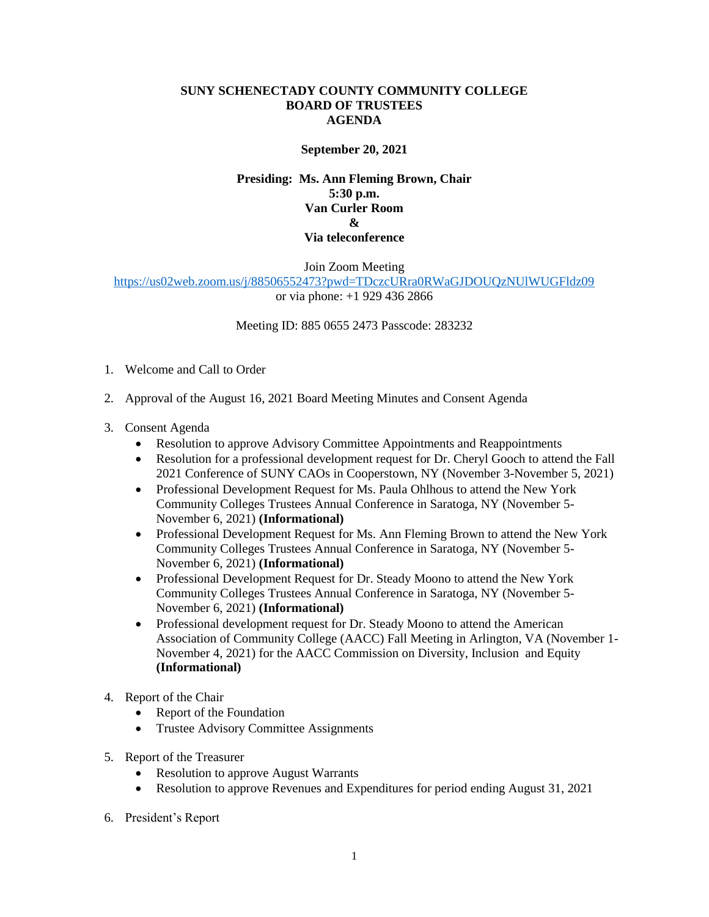### **SUNY SCHENECTADY COUNTY COMMUNITY COLLEGE BOARD OF TRUSTEES AGENDA**

## **September 20, 2021**

## **Presiding: Ms. Ann Fleming Brown, Chair 5:30 p.m. Van Curler Room & Via teleconference**

Join Zoom Meeting <https://us02web.zoom.us/j/88506552473?pwd=TDczcURra0RWaGJDOUQzNUlWUGFldz09> or via phone: +1 929 436 2866

Meeting ID: 885 0655 2473 Passcode: 283232

- 1. Welcome and Call to Order
- 2. Approval of the August 16, 2021 Board Meeting Minutes and Consent Agenda
- 3. Consent Agenda
	- Resolution to approve Advisory Committee Appointments and Reappointments
	- • Resolution for a professional development request for Dr. Cheryl Gooch to attend the Fall 2021 Conference of SUNY CAOs in Cooperstown, NY (November 3-November 5, 2021)
	- Professional Development Request for Ms. Paula Ohlhous to attend the New York Community Colleges Trustees Annual Conference in Saratoga, NY (November 5- November 6, 2021) **(Informational)**
	- Professional Development Request for Ms. Ann Fleming Brown to attend the New York Community Colleges Trustees Annual Conference in Saratoga, NY (November 5- November 6, 2021) **(Informational)**
	- • Professional Development Request for Dr. Steady Moono to attend the New York Community Colleges Trustees Annual Conference in Saratoga, NY (November 5- November 6, 2021) **(Informational)**
	- Professional development request for Dr. Steady Moono to attend the American Association of Community College (AACC) Fall Meeting in Arlington, VA (November 1- November 4, 2021) for the AACC Commission on Diversity, Inclusion and Equity **(Informational)**
- 4. Report of the Chair
	- Report of the Foundation
	- Trustee Advisory Committee Assignments
- 5. Report of the Treasurer
	- Resolution to approve August Warrants
	- Resolution to approve Revenues and Expenditures for period ending August 31, 2021
- 6. President's Report